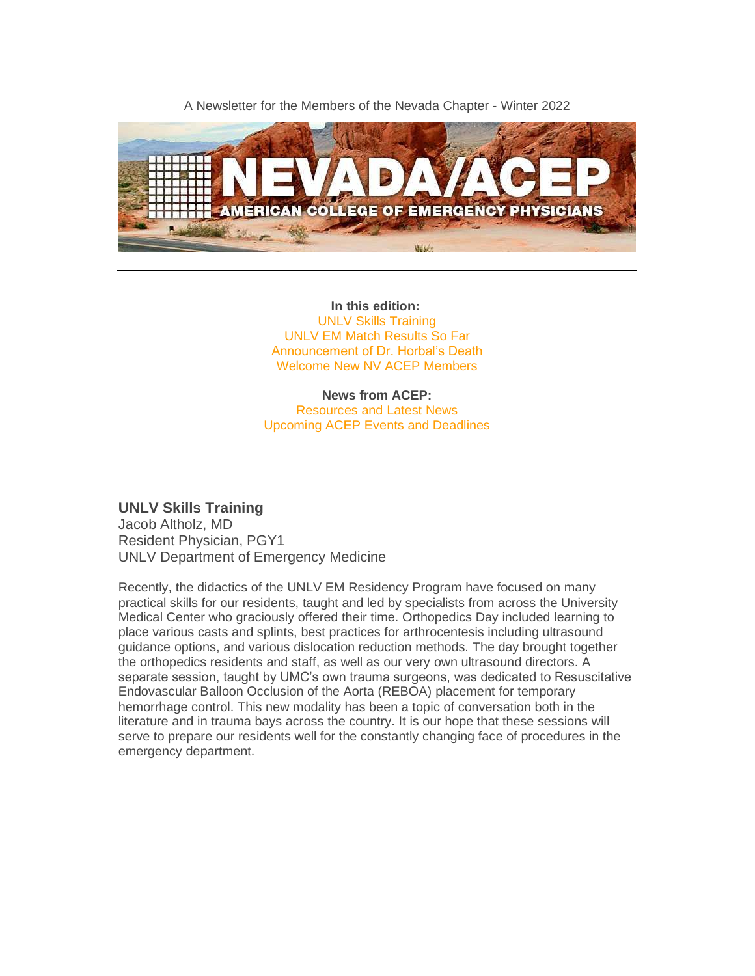A Newsletter for the Members of the Nevada Chapter - Winter 2022



**In this edition:** UNLV Skills Training UNLV EM Match Results So Far Announcement of Dr. Horbal's Death Welcome New NV ACEP Members

#### **News from ACEP:** Resources and Latest News Upcoming ACEP Events and Deadlines

#### **UNLV Skills Training** Jacob Altholz, MD

Resident Physician, PGY1 UNLV Department of Emergency Medicine

Recently, the didactics of the UNLV EM Residency Program have focused on many practical skills for our residents, taught and led by specialists from across the University Medical Center who graciously offered their time. Orthopedics Day included learning to place various casts and splints, best practices for arthrocentesis including ultrasound guidance options, and various dislocation reduction methods. The day brought together the orthopedics residents and staff, as well as our very own ultrasound directors. A separate session, taught by UMC's own trauma surgeons, was dedicated to Resuscitative Endovascular Balloon Occlusion of the Aorta (REBOA) placement for temporary hemorrhage control. This new modality has been a topic of conversation both in the literature and in trauma bays across the country. It is our hope that these sessions will serve to prepare our residents well for the constantly changing face of procedures in the emergency department.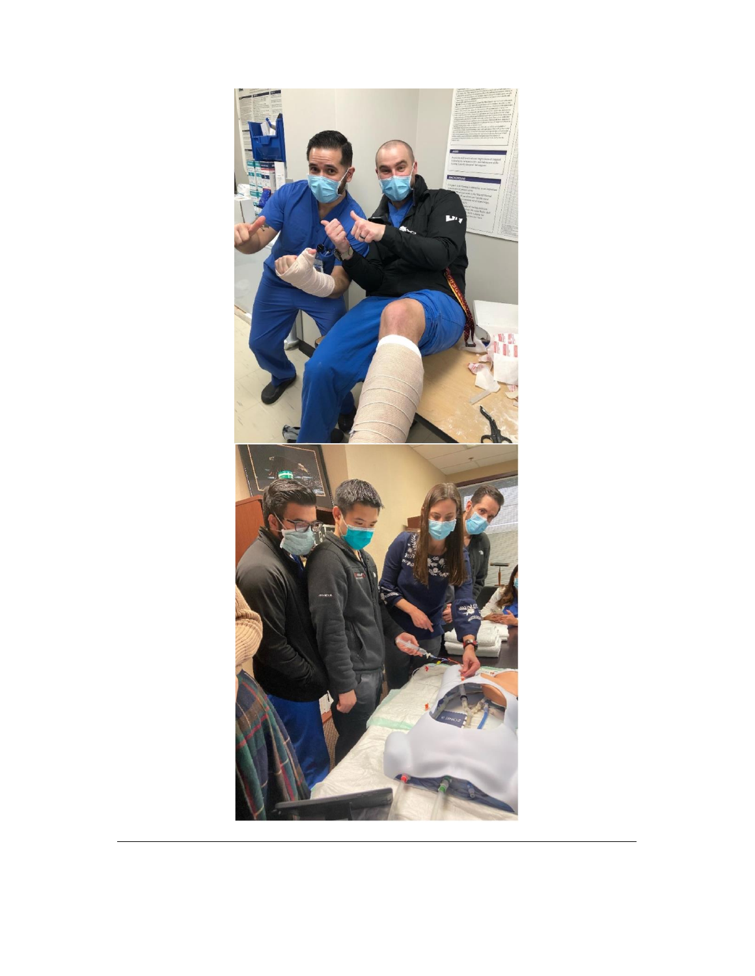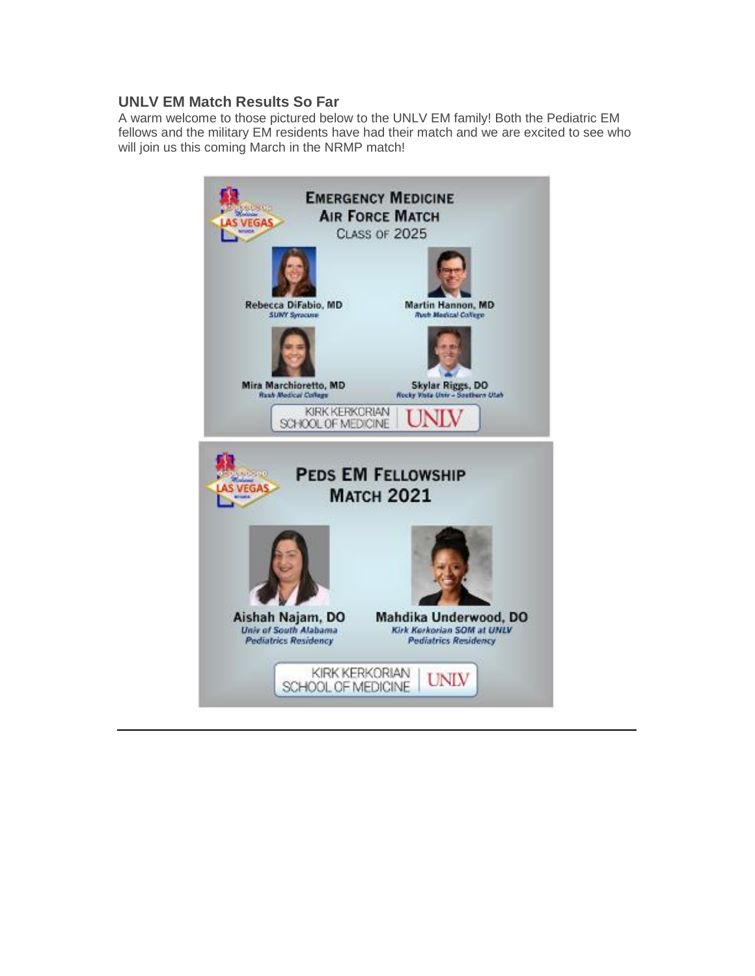## **UNLV EM Match Results So Far**

A warm welcome to those pictured below to the UNLV EM family! Both the Pediatric EM fellows and the military EM residents have had their match and we are excited to see who will join us this coming March in the NRMP match!

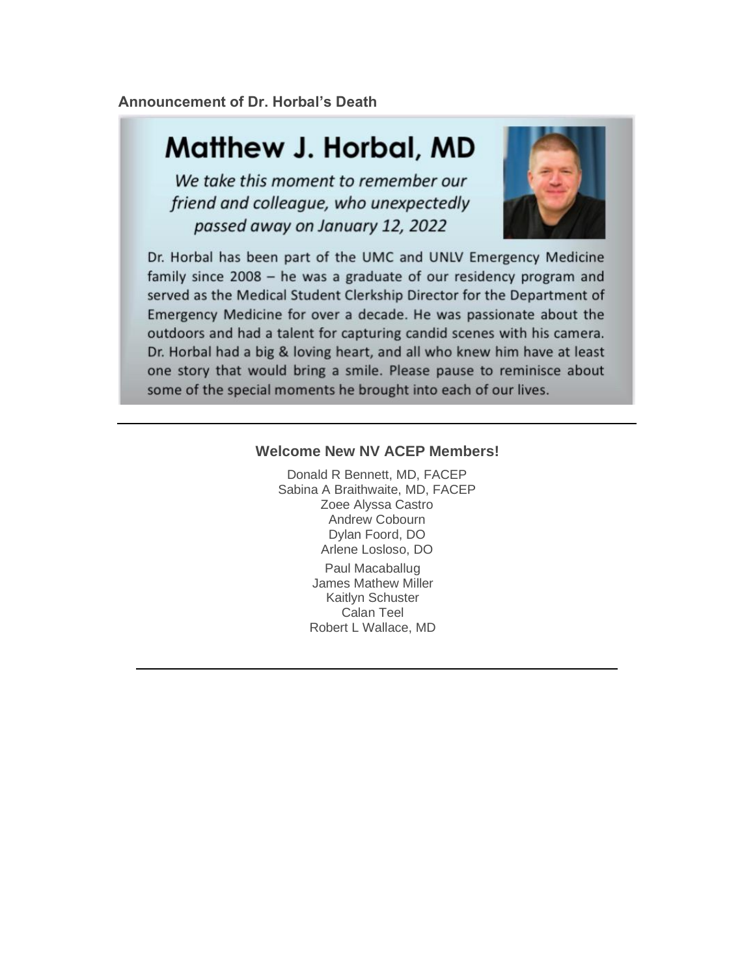**Announcement of Dr. Horbal's Death**

# Matthew J. Horbal, MD

We take this moment to remember our friend and colleague, who unexpectedly passed away on January 12, 2022



Dr. Horbal has been part of the UMC and UNLV Emergency Medicine family since 2008 – he was a graduate of our residency program and served as the Medical Student Clerkship Director for the Department of Emergency Medicine for over a decade. He was passionate about the outdoors and had a talent for capturing candid scenes with his camera. Dr. Horbal had a big & loving heart, and all who knew him have at least one story that would bring a smile. Please pause to reminisce about some of the special moments he brought into each of our lives.

## **Welcome New NV ACEP Members!**

Donald R Bennett, MD, FACEP Sabina A Braithwaite, MD, FACEP Zoee Alyssa Castro Andrew Cobourn Dylan Foord, DO Arlene Losloso, DO

> Paul Macaballug James Mathew Miller Kaitlyn Schuster Calan Teel Robert L Wallace, MD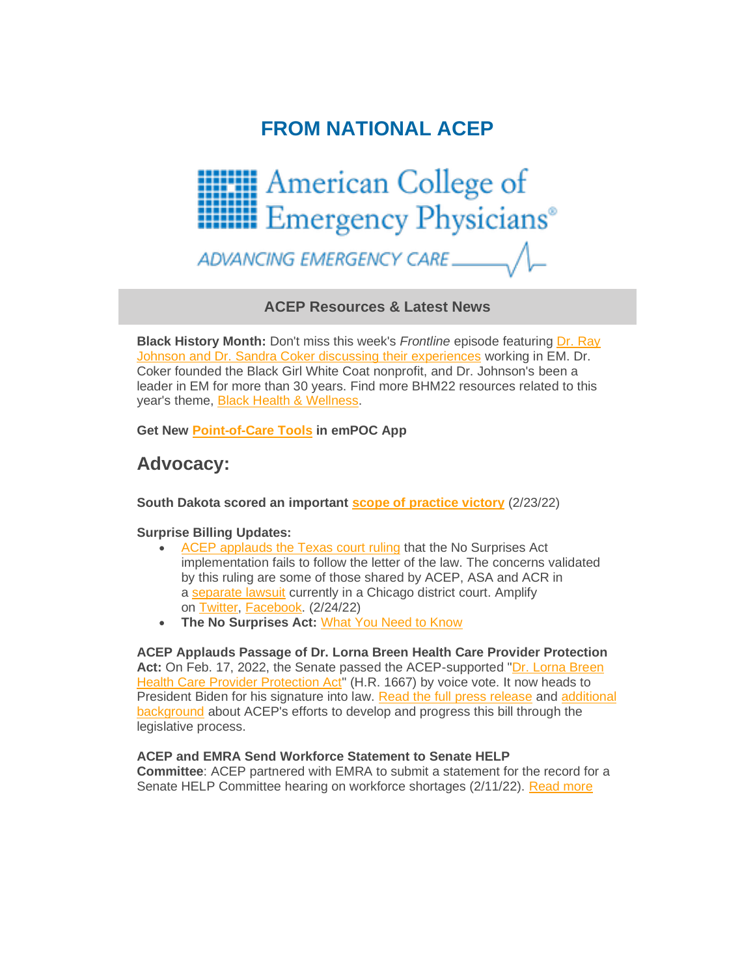# **FROM NATIONAL ACEP**



## **ACEP Resources & Latest News**

**Black History Month:** Don't miss this week's *Frontline* episode featuring [Dr. Ray](https://soundcloud.com/acep-frontline/black-history-month-special)  [Johnson and Dr. Sandra Coker discussing their experiences](https://soundcloud.com/acep-frontline/black-history-month-special) working in EM. Dr. Coker founded the Black Girl White Coat nonprofit, and Dr. Johnson's been a leader in EM for more than 30 years. Find more BHM22 resources related to this year's theme, [Black Health & Wellness.](https://www.acep.org/home-page-redirects/latest-news/black-history-month-health--wellness/)

**Get New [Point-of-Care Tools](https://www.acep.org/patient-care/point-of-care-tools/) in emPOC App**

## **Advocacy:**

**South Dakota scored an important [scope of practice victory](https://www.acep.org/home-page-redirects/latest-news/south-dakota-scores-scope-of-practice-victory/)** (2/23/22)

#### **Surprise Billing Updates:**

- [ACEP applauds the Texas court ruling](https://www.emergencyphysicians.org/press-releases/2022/2-24-22-acep-praises-texas-court-ruling-that-finds-flaws-in-no-surprises-act-implementation) that the No Surprises Act implementation fails to follow the letter of the law. The concerns validated by this ruling are some of those shared by ACEP, ASA and ACR in a [separate lawsuit](https://www.emergencyphysicians.org/press-releases/2022/2-9-22-in-new-court-motion-major-medical-societies-argue-no-surprises-act-rule-violates-law-passed-by-congress) currently in a Chicago district court. Amplify on [Twitter,](https://twitter.com/EmergencyDocs/status/1496973421774884871) [Facebook.](https://www.facebook.com/EmergencyPhysicians.org/posts/10158922625947815) (2/24/22)
- **The No Surprises Act:** [What You Need to Know](https://www.acep.org/federal-advocacy/no-surprises-act-overview/)

#### **ACEP Applauds Passage of Dr. Lorna Breen Health Care Provider Protection Act:** On Feb. 17, 2022, the Senate passed the ACEP-supported ["Dr. Lorna Breen](https://www.congress.gov/bill/117th-congress/house-bill/1667)  [Health Care Provider Protection Act"](https://www.congress.gov/bill/117th-congress/house-bill/1667) (H.R. 1667) by voice vote. It now heads to President Biden for his signature into law. [Read the full press release](https://www.emergencyphysicians.org/press-releases/2022/2-18-22-acep-applauds-the-passage-of-legislation-to-protect-frontline-worker-mental-health) and additional [background](https://www.acep.org/corona/COVID-19-alert/covid-19-articles/your-advocacy-at-work-senate-passes-dr.-lorna-breen-bill/) about ACEP's efforts to develop and progress this bill through the legislative process.

### **ACEP and EMRA Send Workforce Statement to Senate HELP**

**Committee**: ACEP partnered with EMRA to submit a statement for the record for a Senate HELP Committee hearing on workforce shortages (2/11/22). [Read more](https://www.acep.org/federal-advocacy/workforce-issues/)